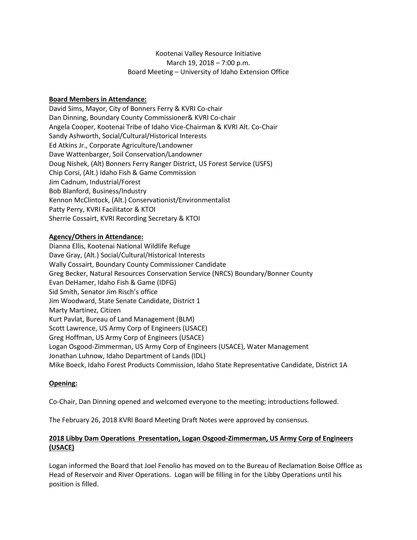# Kootenai Valley Resource Initiative March 19, 2018 – 7:00 p.m. Board Meeting – University of Idaho Extension Office

## **Board Members in Attendance:**

David Sims, Mayor, City of Bonners Ferry & KVRI Co-chair Dan Dinning, Boundary County Commissioner& KVRI Co-chair Angela Cooper, Kootenai Tribe of Idaho Vice-Chairman & KVRI Alt. Co-Chair Sandy Ashworth, Social/Cultural/Historical Interests Ed Atkins Jr., Corporate Agriculture/Landowner Dave Wattenbarger, Soil Conservation/Landowner Doug Nishek, (Alt) Bonners Ferry Ranger District, US Forest Service (USFS) Chip Corsi, (Alt.) Idaho Fish & Game Commission Jim Cadnum, Industrial/Forest Bob Blanford, Business/Industry Kennon McClintock, (Alt.) Conservationist/Environmentalist Patty Perry, KVRI Facilitator & KTOI Sherrie Cossairt, KVRI Recording Secretary & KTOI

## **Agency/Others in Attendance:**

Dianna Ellis, Kootenai National Wildlife Refuge Dave Gray, (Alt.) Social/Cultural/Historical Interests Wally Cossairt, Boundary County Commissioner Candidate Greg Becker, Natural Resources Conservation Service (NRCS) Boundary/Bonner County Evan DeHamer, Idaho Fish & Game (IDFG) Sid Smith, Senator Jim Risch's office Jim Woodward, State Senate Candidate, District 1 Marty Martinez, Citizen Kurt Pavlat, Bureau of Land Management (BLM) Scott Lawrence, US Army Corp of Engineers (USACE) Greg Hoffman, US Army Corp of Engineers (USACE) Logan Osgood-Zimmerman, US Army Corp of Engineers (USACE), Water Management Jonathan Luhnow, Idaho Department of Lands (IDL) Mike Boeck, Idaho Forest Products Commission, Idaho State Representative Candidate, District 1A

## **Opening:**

Co-Chair, Dan Dinning opened and welcomed everyone to the meeting; introductions followed.

The February 26, 2018 KVRI Board Meeting Draft Notes were approved by consensus.

# **2018 Libby Dam Operations Presentation, Logan Osgood-Zimmerman, US Army Corp of Engineers (USACE)**

Logan informed the Board that Joel Fenolio has moved on to the Bureau of Reclamation Boise Office as Head of Reservoir and River Operations. Logan will be filling in for the Libby Operations until his position is filled.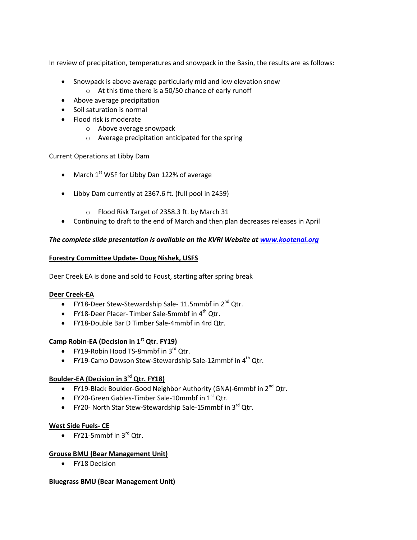In review of precipitation, temperatures and snowpack in the Basin, the results are as follows:

- Snowpack is above average particularly mid and low elevation snow
	- o At this time there is a 50/50 chance of early runoff
- Above average precipitation
- Soil saturation is normal
- Flood risk is moderate
	- o Above average snowpack
	- o Average precipitation anticipated for the spring

Current Operations at Libby Dam

- March  $1<sup>st</sup>$  WSF for Libby Dan 122% of average
- Libby Dam currently at 2367.6 ft. (full pool in 2459)
	- o Flood Risk Target of 2358.3 ft. by March 31
- Continuing to draft to the end of March and then plan decreases releases in April

# *The complete slide presentation is available on the KVRI Website at [www.kootenai.org](http://www.kootenai.org/)*

# **Forestry Committee Update- Doug Nishek, USFS**

Deer Creek EA is done and sold to Foust, starting after spring break

## **Deer Creek-EA**

- FY18-Deer Stew-Stewardship Sale- 11.5mmbf in  $2^{nd}$  Qtr.
- FY18-Deer Placer- Timber Sale-5mmbf in  $4^{\text{th}}$  Qtr.
- FY18-Double Bar D Timber Sale-4mmbf in 4rd Qtr.

# **Camp Robin-EA (Decision in 1st Qtr. FY19)**

- $\bullet$  FY19-Robin Hood TS-8mmbf in 3 $^{rd}$  Otr.
- FY19-Camp Dawson Stew-Stewardship Sale-12mmbf in  $4<sup>th</sup>$  Qtr.

# **Boulder-EA (Decision in 3rd Qtr. FY18)**

- FY19-Black Boulder-Good Neighbor Authority (GNA)-6mmbf in  $2^{nd}$  Qtr.
- FY20-Green Gables-Timber Sale-10mmbf in  $1<sup>st</sup>$  Qtr.
- FY20- North Star Stew-Stewardship Sale-15mmbf in  $3^{rd}$  Qtr.

## **West Side Fuels- CE**

• FY21-5mmbf in  $3^{rd}$  Qtr.

## **Grouse BMU (Bear Management Unit)**

FY18 Decision

## **Bluegrass BMU (Bear Management Unit)**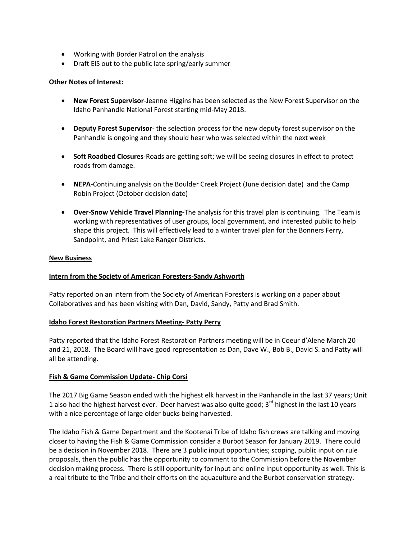- Working with Border Patrol on the analysis
- Draft EIS out to the public late spring/early summer

### **Other Notes of Interest:**

- **New Forest Supervisor**-Jeanne Higgins has been selected as the New Forest Supervisor on the Idaho Panhandle National Forest starting mid-May 2018.
- **Deputy Forest Supervisor** the selection process for the new deputy forest supervisor on the Panhandle is ongoing and they should hear who was selected within the next week
- **Soft Roadbed Closures**-Roads are getting soft; we will be seeing closures in effect to protect roads from damage.
- **NEPA**-Continuing analysis on the Boulder Creek Project (June decision date) and the Camp Robin Project (October decision date)
- **Over-Snow Vehicle Travel Planning-**The analysis for this travel plan is continuing. The Team is working with representatives of user groups, local government, and interested public to help shape this project. This will effectively lead to a winter travel plan for the Bonners Ferry, Sandpoint, and Priest Lake Ranger Districts.

#### **New Business**

## **Intern from the Society of American Foresters-Sandy Ashworth**

Patty reported on an intern from the Society of American Foresters is working on a paper about Collaboratives and has been visiting with Dan, David, Sandy, Patty and Brad Smith.

#### **Idaho Forest Restoration Partners Meeting- Patty Perry**

Patty reported that the Idaho Forest Restoration Partners meeting will be in Coeur d'Alene March 20 and 21, 2018. The Board will have good representation as Dan, Dave W., Bob B., David S. and Patty will all be attending.

## **Fish & Game Commission Update- Chip Corsi**

The 2017 Big Game Season ended with the highest elk harvest in the Panhandle in the last 37 years; Unit 1 also had the highest harvest ever. Deer harvest was also quite good;  $3<sup>rd</sup>$  highest in the last 10 years with a nice percentage of large older bucks being harvested.

The Idaho Fish & Game Department and the Kootenai Tribe of Idaho fish crews are talking and moving closer to having the Fish & Game Commission consider a Burbot Season for January 2019. There could be a decision in November 2018. There are 3 public input opportunities; scoping, public input on rule proposals, then the public has the opportunity to comment to the Commission before the November decision making process. There is still opportunity for input and online input opportunity as well. This is a real tribute to the Tribe and their efforts on the aquaculture and the Burbot conservation strategy.